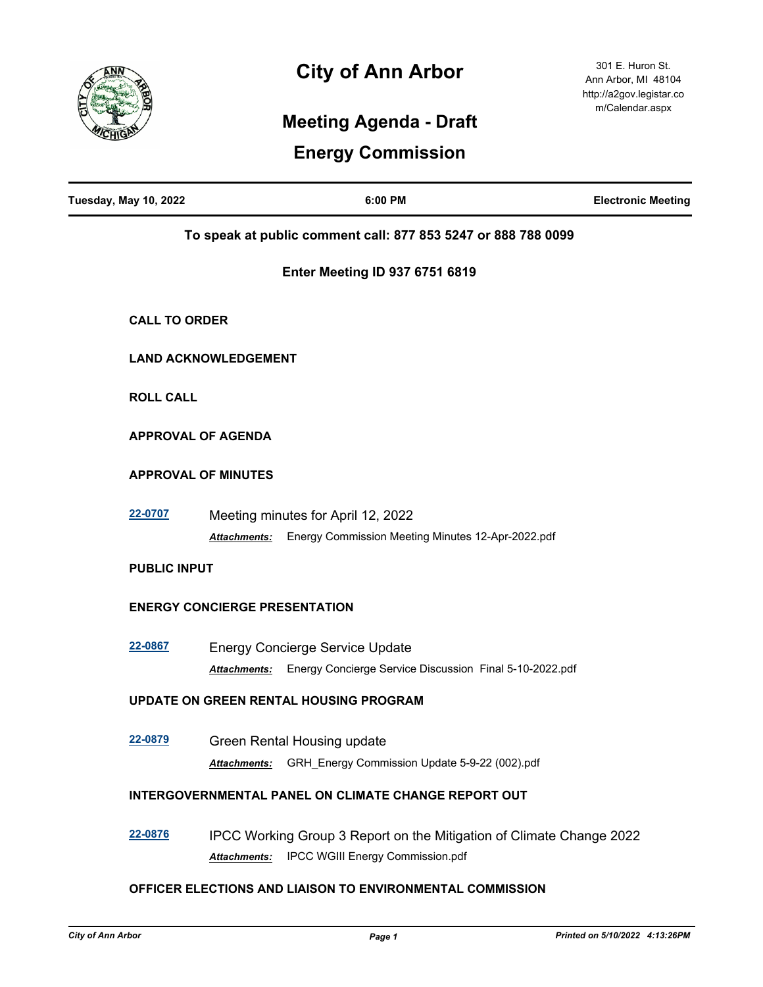

## **City of Ann Arbor**

301 E. Huron St. Ann Arbor, MI 48104 http://a2gov.legistar.co m/Calendar.aspx

## **Meeting Agenda - Draft**

## **Energy Commission**

| <b>Tuesday, May 10, 2022</b> |                                      | 6:00 PM                                                                                                  | <b>Electronic Meeting</b> |
|------------------------------|--------------------------------------|----------------------------------------------------------------------------------------------------------|---------------------------|
|                              |                                      | To speak at public comment call: 877 853 5247 or 888 788 0099                                            |                           |
|                              |                                      | <b>Enter Meeting ID 937 6751 6819</b>                                                                    |                           |
| <b>CALL TO ORDER</b>         |                                      |                                                                                                          |                           |
|                              | <b>LAND ACKNOWLEDGEMENT</b>          |                                                                                                          |                           |
| <b>ROLL CALL</b>             |                                      |                                                                                                          |                           |
|                              | <b>APPROVAL OF AGENDA</b>            |                                                                                                          |                           |
|                              | <b>APPROVAL OF MINUTES</b>           |                                                                                                          |                           |
| 22-0707                      | <b>Attachments:</b>                  | Meeting minutes for April 12, 2022<br>Energy Commission Meeting Minutes 12-Apr-2022.pdf                  |                           |
| <b>PUBLIC INPUT</b>          |                                      |                                                                                                          |                           |
|                              | <b>ENERGY CONCIERGE PRESENTATION</b> |                                                                                                          |                           |
| 22-0867                      | Attachments:                         | <b>Energy Concierge Service Update</b><br>Energy Concierge Service Discussion Final 5-10-2022.pdf        |                           |
|                              |                                      | UPDATE ON GREEN RENTAL HOUSING PROGRAM                                                                   |                           |
| 22-0879                      | <b>Attachments:</b>                  | Green Rental Housing update<br>GRH_Energy Commission Update 5-9-22 (002).pdf                             |                           |
|                              |                                      | INTERGOVERNMENTAL PANEL ON CLIMATE CHANGE REPORT OUT                                                     |                           |
| 22-0876                      | Attachments:                         | IPCC Working Group 3 Report on the Mitigation of Climate Change 2022<br>IPCC WGIII Energy Commission.pdf |                           |
|                              |                                      | OFFICER ELECTIONS AND LIAISON TO ENVIRONMENTAL COMMISSION                                                |                           |